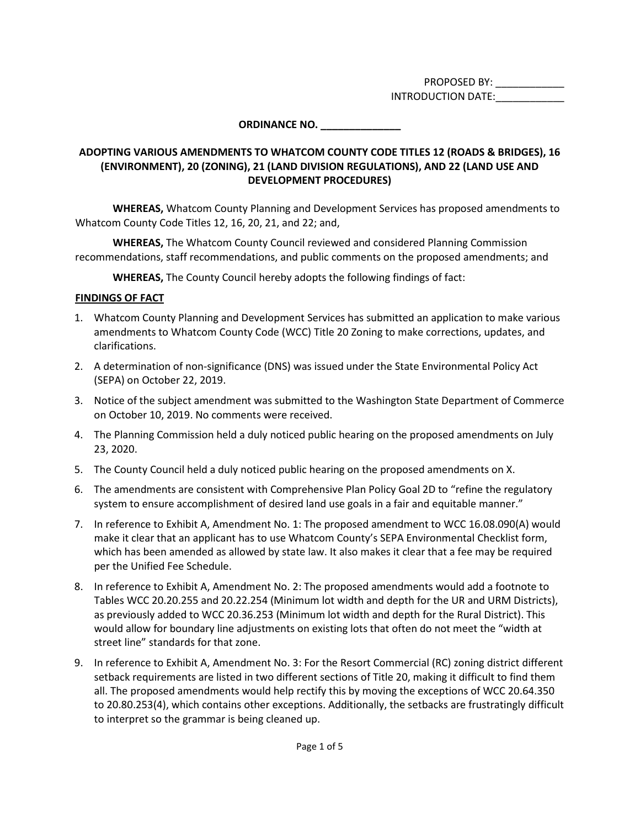PROPOSED BY: \_\_\_\_\_\_\_\_\_\_\_\_ INTRODUCTION DATE:

# **ORDINANCE NO. \_\_\_\_\_\_\_\_\_\_\_\_\_\_**

### **ADOPTING VARIOUS AMENDMENTS TO WHATCOM COUNTY CODE TITLES 12 (ROADS & BRIDGES), 16 (ENVIRONMENT), 20 (ZONING), 21 (LAND DIVISION REGULATIONS), AND 22 (LAND USE AND DEVELOPMENT PROCEDURES)**

**WHEREAS,** Whatcom County Planning and Development Services has proposed amendments to Whatcom County Code Titles 12, 16, 20, 21, and 22; and,

**WHEREAS,** The Whatcom County Council reviewed and considered Planning Commission recommendations, staff recommendations, and public comments on the proposed amendments; and

**WHEREAS,** The County Council hereby adopts the following findings of fact:

### **FINDINGS OF FACT**

- 1. Whatcom County Planning and Development Services has submitted an application to make various amendments to Whatcom County Code (WCC) Title 20 Zoning to make corrections, updates, and clarifications.
- 2. A determination of non-significance (DNS) was issued under the State Environmental Policy Act (SEPA) on October 22, 2019.
- 3. Notice of the subject amendment was submitted to the Washington State Department of Commerce on October 10, 2019. No comments were received.
- 4. The Planning Commission held a duly noticed public hearing on the proposed amendments on July 23, 2020.
- 5. The County Council held a duly noticed public hearing on the proposed amendments on X.
- 6. The amendments are consistent with Comprehensive Plan Policy Goal 2D to "refine the regulatory system to ensure accomplishment of desired land use goals in a fair and equitable manner."
- 7. In reference to Exhibit A, Amendment No. 1: The proposed amendment to WCC 16.08.090(A) would make it clear that an applicant has to use Whatcom County's SEPA Environmental Checklist form, which has been amended as allowed by state law. It also makes it clear that a fee may be required per the Unified Fee Schedule.
- 8. In reference to Exhibit A, Amendment No. 2: The proposed amendments would add a footnote to Tables WCC 20.20.255 and 20.22.254 (Minimum lot width and depth for the UR and URM Districts), as previously added to WCC 20.36.253 (Minimum lot width and depth for the Rural District). This would allow for boundary line adjustments on existing lots that often do not meet the "width at street line" standards for that zone.
- 9. In reference to Exhibit A, Amendment No. 3: For the Resort Commercial (RC) zoning district different setback requirements are listed in two different sections of Title 20, making it difficult to find them all. The proposed amendments would help rectify this by moving the exceptions of WCC 20.64.350 to 20.80.253(4), which contains other exceptions. Additionally, the setbacks are frustratingly difficult to interpret so the grammar is being cleaned up.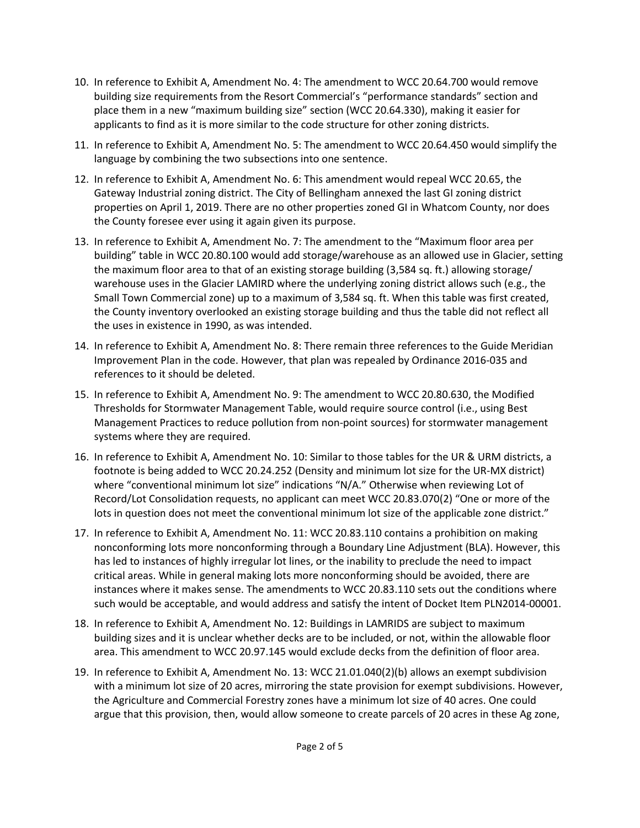- 10. In reference to Exhibit A, Amendment No. 4: The amendment to WCC 20.64.700 would remove building size requirements from the Resort Commercial's "performance standards" section and place them in a new "maximum building size" section (WCC 20.64.330), making it easier for applicants to find as it is more similar to the code structure for other zoning districts.
- 11. In reference to Exhibit A, Amendment No. 5: The amendment to WCC 20.64.450 would simplify the language by combining the two subsections into one sentence.
- 12. In reference to Exhibit A, Amendment No. 6: This amendment would repeal WCC 20.65, the Gateway Industrial zoning district. The City of Bellingham annexed the last GI zoning district properties on April 1, 2019. There are no other properties zoned GI in Whatcom County, nor does the County foresee ever using it again given its purpose.
- 13. In reference to Exhibit A, Amendment No. 7: The amendment to the "Maximum floor area per building" table in WCC 20.80.100 would add storage/warehouse as an allowed use in Glacier, setting the maximum floor area to that of an existing storage building (3,584 sq. ft.) allowing storage/ warehouse uses in the Glacier LAMIRD where the underlying zoning district allows such (e.g., the Small Town Commercial zone) up to a maximum of 3,584 sq. ft. When this table was first created, the County inventory overlooked an existing storage building and thus the table did not reflect all the uses in existence in 1990, as was intended.
- 14. In reference to Exhibit A, Amendment No. 8: There remain three references to the Guide Meridian Improvement Plan in the code. However, that plan was repealed by Ordinance 2016-035 and references to it should be deleted.
- 15. In reference to Exhibit A, Amendment No. 9: The amendment to WCC 20.80.630, the Modified Thresholds for Stormwater Management Table, would require source control (i.e., using Best Management Practices to reduce pollution from non-point sources) for stormwater management systems where they are required.
- 16. In reference to Exhibit A, Amendment No. 10: Similar to those tables for the UR & URM districts, a footnote is being added to WCC 20.24.252 (Density and minimum lot size for the UR-MX district) where "conventional minimum lot size" indications "N/A." Otherwise when reviewing Lot of Record/Lot Consolidation requests, no applicant can meet WCC 20.83.070(2) "One or more of the lots in question does not meet the conventional minimum lot size of the applicable zone district."
- 17. In reference to Exhibit A, Amendment No. 11: WCC 20.83.110 contains a prohibition on making nonconforming lots more nonconforming through a Boundary Line Adjustment (BLA). However, this has led to instances of highly irregular lot lines, or the inability to preclude the need to impact critical areas. While in general making lots more nonconforming should be avoided, there are instances where it makes sense. The amendments to WCC 20.83.110 sets out the conditions where such would be acceptable, and would address and satisfy the intent of Docket Item PLN2014-00001.
- 18. In reference to Exhibit A, Amendment No. 12: Buildings in LAMRIDS are subject to maximum building sizes and it is unclear whether decks are to be included, or not, within the allowable floor area. This amendment to WCC 20.97.145 would exclude decks from the definition of floor area.
- 19. In reference to Exhibit A, Amendment No. 13: WCC 21.01.040(2)(b) allows an exempt subdivision with a minimum lot size of 20 acres, mirroring the state provision for exempt subdivisions. However, the Agriculture and Commercial Forestry zones have a minimum lot size of 40 acres. One could argue that this provision, then, would allow someone to create parcels of 20 acres in these Ag zone,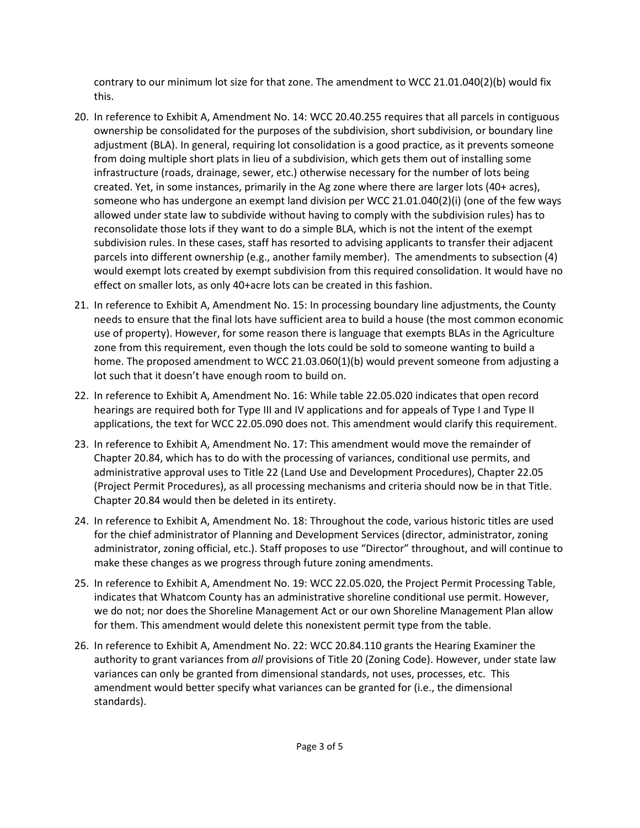contrary to our minimum lot size for that zone. The amendment to WCC 21.01.040(2)(b) would fix this.

- 20. In reference to Exhibit A, Amendment No. 14: WCC 20.40.255 requires that all parcels in contiguous ownership be consolidated for the purposes of the subdivision, short subdivision, or boundary line adjustment (BLA). In general, requiring lot consolidation is a good practice, as it prevents someone from doing multiple short plats in lieu of a subdivision, which gets them out of installing some infrastructure (roads, drainage, sewer, etc.) otherwise necessary for the number of lots being created. Yet, in some instances, primarily in the Ag zone where there are larger lots (40+ acres), someone who has undergone an exempt land division per WCC 21.01.040(2)(i) (one of the few ways allowed under state law to subdivide without having to comply with the subdivision rules) has to reconsolidate those lots if they want to do a simple BLA, which is not the intent of the exempt subdivision rules. In these cases, staff has resorted to advising applicants to transfer their adjacent parcels into different ownership (e.g., another family member). The amendments to subsection (4) would exempt lots created by exempt subdivision from this required consolidation. It would have no effect on smaller lots, as only 40+acre lots can be created in this fashion.
- 21. In reference to Exhibit A, Amendment No. 15: In processing boundary line adjustments, the County needs to ensure that the final lots have sufficient area to build a house (the most common economic use of property). However, for some reason there is language that exempts BLAs in the Agriculture zone from this requirement, even though the lots could be sold to someone wanting to build a home. The proposed amendment to WCC 21.03.060(1)(b) would prevent someone from adjusting a lot such that it doesn't have enough room to build on.
- 22. In reference to Exhibit A, Amendment No. 16: While table 22.05.020 indicates that open record hearings are required both for Type III and IV applications and for appeals of Type I and Type II applications, the text for WCC 22.05.090 does not. This amendment would clarify this requirement.
- 23. In reference to Exhibit A, Amendment No. 17: This amendment would move the remainder of Chapter 20.84, which has to do with the processing of variances, conditional use permits, and administrative approval uses to Title 22 (Land Use and Development Procedures), Chapter 22.05 (Project Permit Procedures), as all processing mechanisms and criteria should now be in that Title. Chapter 20.84 would then be deleted in its entirety.
- 24. In reference to Exhibit A, Amendment No. 18: Throughout the code, various historic titles are used for the chief administrator of Planning and Development Services (director, administrator, zoning administrator, zoning official, etc.). Staff proposes to use "Director" throughout, and will continue to make these changes as we progress through future zoning amendments.
- 25. In reference to Exhibit A, Amendment No. 19: WCC 22.05.020, the Project Permit Processing Table, indicates that Whatcom County has an administrative shoreline conditional use permit. However, we do not; nor does the Shoreline Management Act or our own Shoreline Management Plan allow for them. This amendment would delete this nonexistent permit type from the table.
- 26. In reference to Exhibit A, Amendment No. 22: WCC 20.84.110 grants the Hearing Examiner the authority to grant variances from *all* provisions of Title 20 (Zoning Code). However, under state law variances can only be granted from dimensional standards, not uses, processes, etc. This amendment would better specify what variances can be granted for (i.e., the dimensional standards).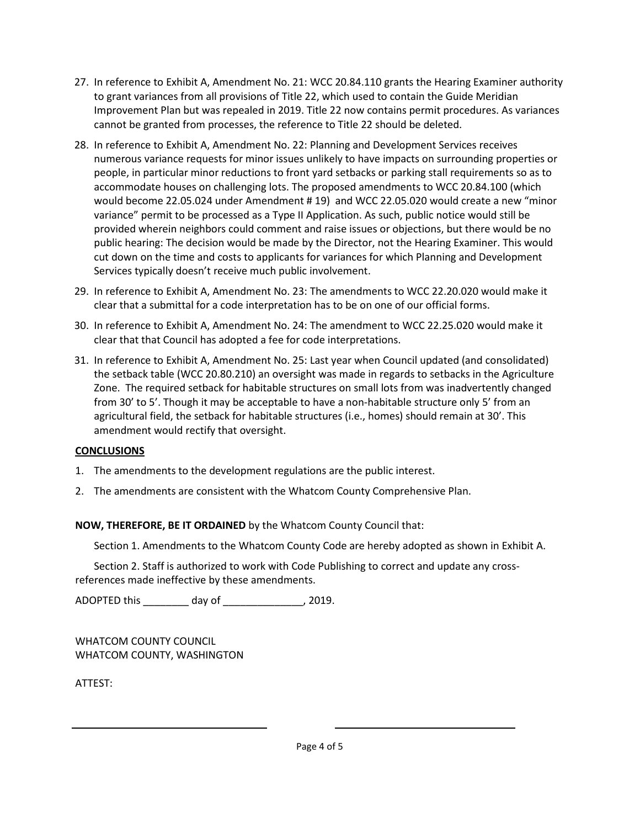- 27. In reference to Exhibit A, Amendment No. 21: WCC 20.84.110 grants the Hearing Examiner authority to grant variances from all provisions of Title 22, which used to contain the Guide Meridian Improvement Plan but was repealed in 2019. Title 22 now contains permit procedures. As variances cannot be granted from processes, the reference to Title 22 should be deleted.
- 28. In reference to Exhibit A, Amendment No. 22: Planning and Development Services receives numerous variance requests for minor issues unlikely to have impacts on surrounding properties or people, in particular minor reductions to front yard setbacks or parking stall requirements so as to accommodate houses on challenging lots. The proposed amendments to WCC 20.84.100 (which would become 22.05.024 under Amendment # 19) and WCC 22.05.020 would create a new "minor variance" permit to be processed as a Type II Application. As such, public notice would still be provided wherein neighbors could comment and raise issues or objections, but there would be no public hearing: The decision would be made by the Director, not the Hearing Examiner. This would cut down on the time and costs to applicants for variances for which Planning and Development Services typically doesn't receive much public involvement.
- 29. In reference to Exhibit A, Amendment No. 23: The amendments to WCC 22.20.020 would make it clear that a submittal for a code interpretation has to be on one of our official forms.
- 30. In reference to Exhibit A, Amendment No. 24: The amendment to WCC 22.25.020 would make it clear that that Council has adopted a fee for code interpretations.
- 31. In reference to Exhibit A, Amendment No. 25: Last year when Council updated (and consolidated) the setback table (WCC 20.80.210) an oversight was made in regards to setbacks in the Agriculture Zone. The required setback for habitable structures on small lots from was inadvertently changed from 30' to 5'. Though it may be acceptable to have a non-habitable structure only 5' from an agricultural field, the setback for habitable structures (i.e., homes) should remain at 30'. This amendment would rectify that oversight.

#### **CONCLUSIONS**

- 1. The amendments to the development regulations are the public interest.
- 2. The amendments are consistent with the Whatcom County Comprehensive Plan.

# **NOW, THEREFORE, BE IT ORDAINED** by the Whatcom County Council that:

Section 1. Amendments to the Whatcom County Code are hereby adopted as shown in Exhibit A.

Section 2. Staff is authorized to work with Code Publishing to correct and update any crossreferences made ineffective by these amendments.

ADOPTED this \_\_\_\_\_\_\_\_ day of \_\_\_\_\_\_\_\_\_\_\_\_\_\_, 2019.

WHATCOM COUNTY COUNCIL WHATCOM COUNTY, WASHINGTON

ATTEST: